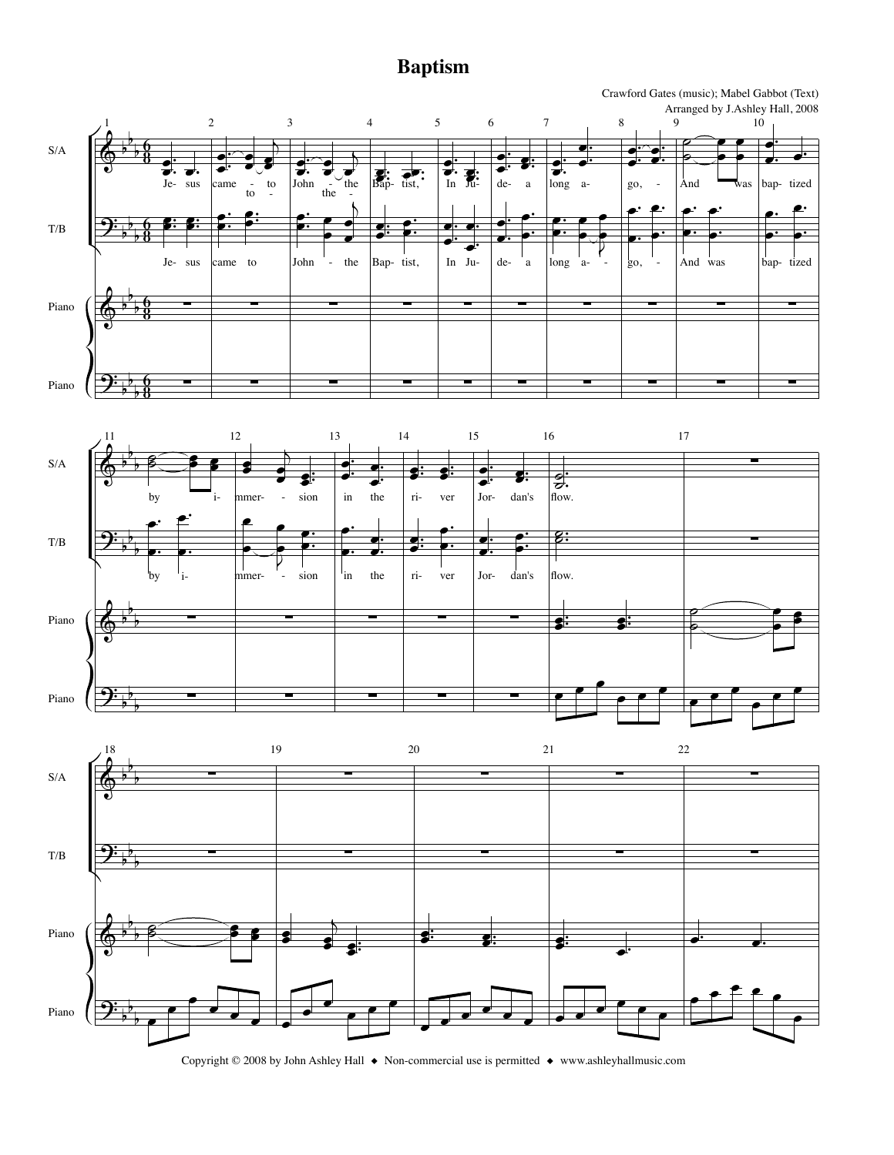## **Baptism**



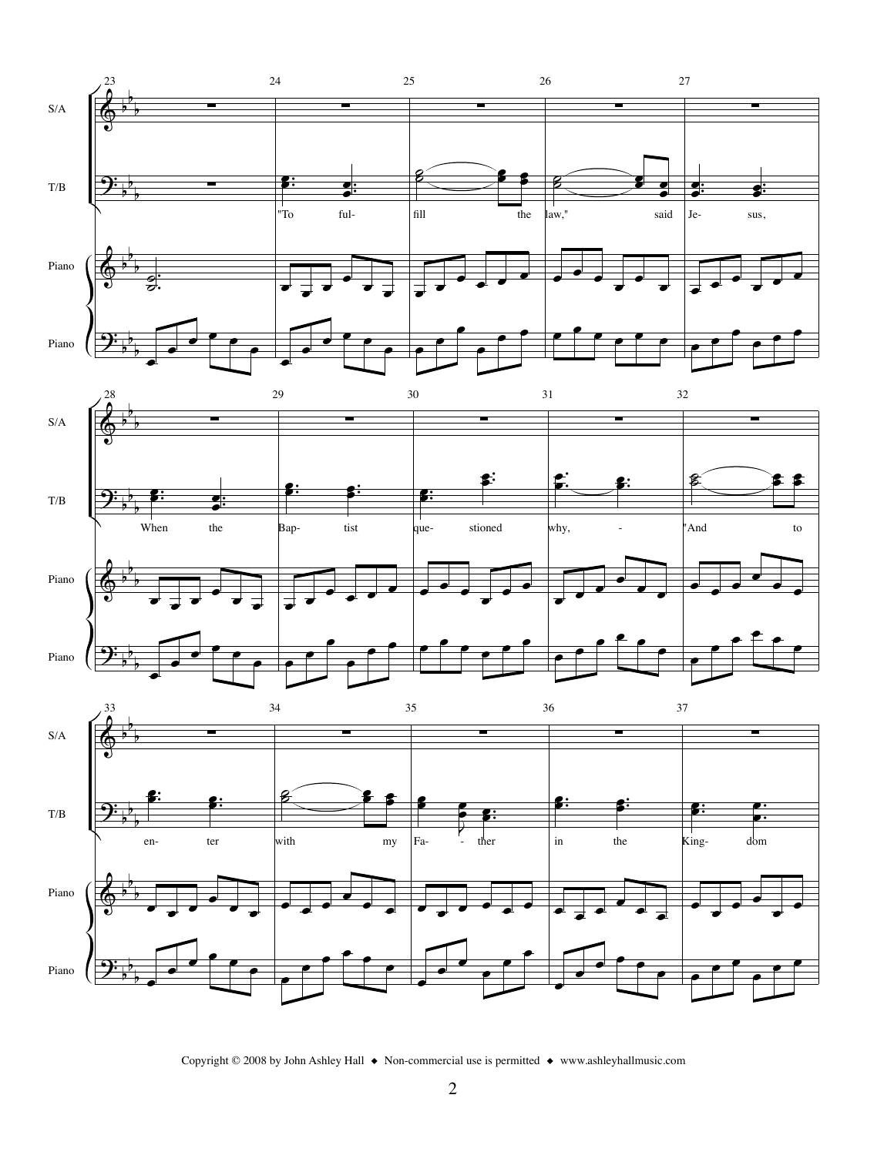

Copyright © 2008 by John Ashley Hall  $\bullet$  Non-commercial use is permitted  $\bullet$  www.ashleyhallmusic.com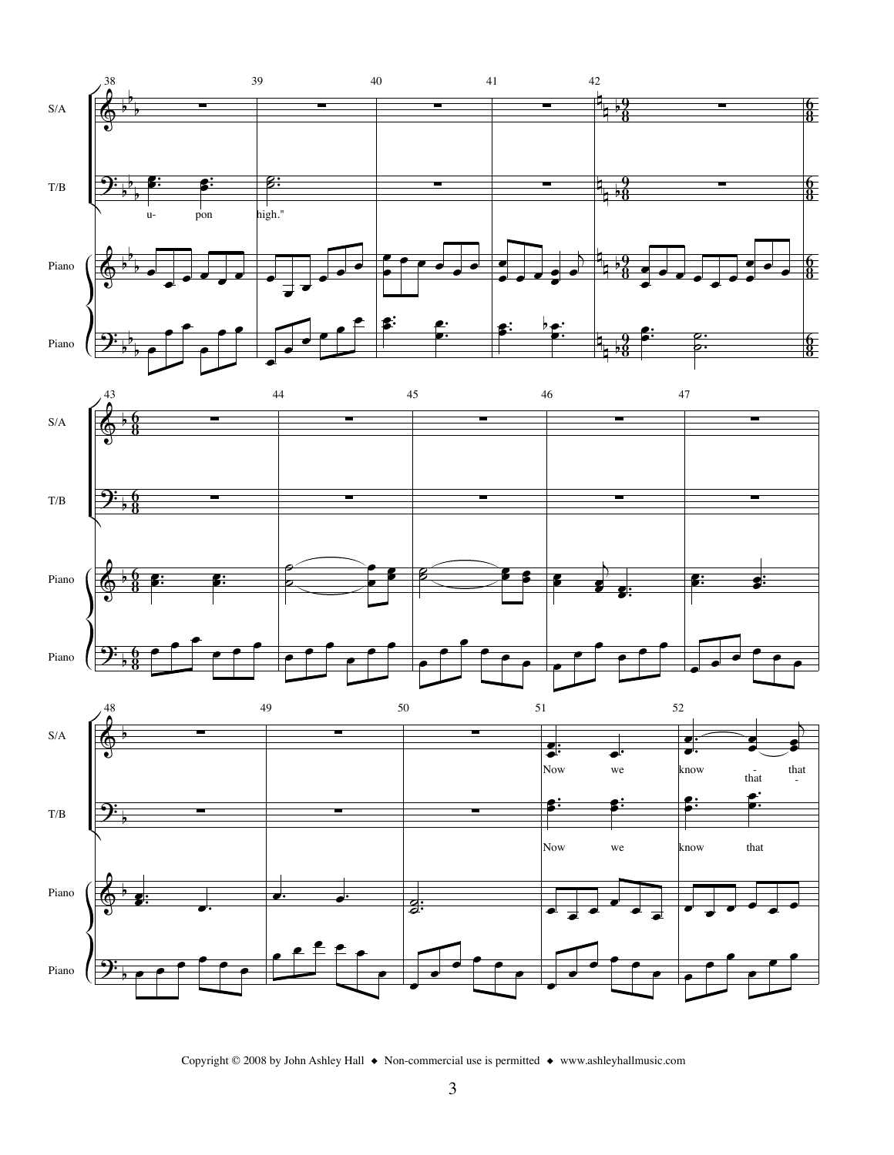

Copyright © 2008 by John Ashley Hall  $\bullet$  Non-commercial use is permitted  $\bullet$  www.ashleyhallmusic.com